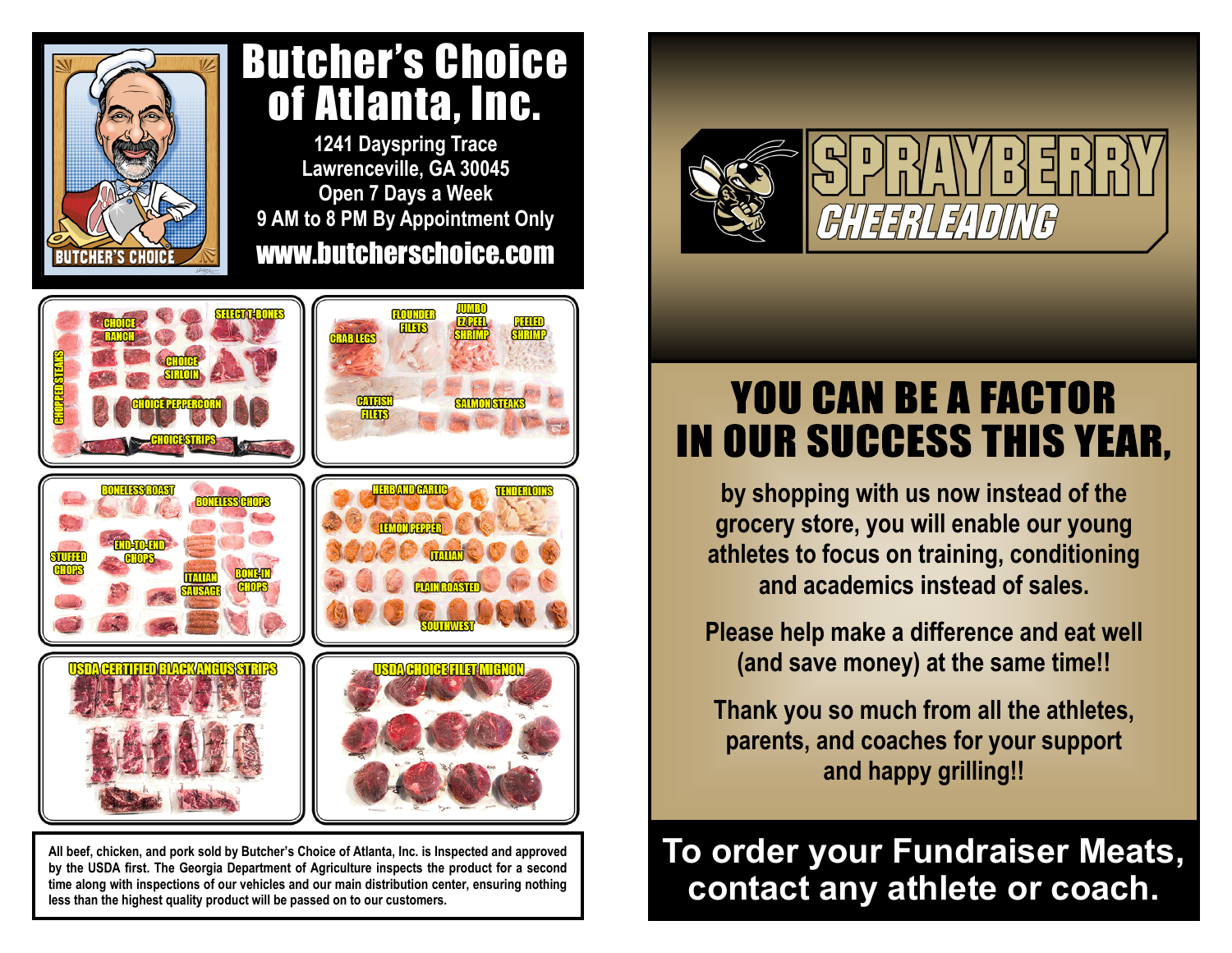

## Butcher's Choice of Atlanta, Inc.

**1241 Dayspring Trace Lawrenceville, GA 30045 Open 7 Days a Week 9 AM to 8 PM By Appointment Only** www.butcherschoice.com



**All beef, chicken, and pork sold by Butcher's Choice of Atlanta, Inc. is Inspected and approved by the USDA first. The Georgia Department of Agriculture inspects the product for a second time along with inspections of our vehicles and our main distribution center, ensuring nothing less than the highest quality product will be passed on to our customers.**



## **YOU CAN BE A FACTOR IN OUR SUCCESS THIS YEAR,**

**by shopping with us now instead of the grocery store, you will enable our young athletes to focus on training, conditioning and academics instead of sales.**

**Please help make a difference and eat well (and save money) at the same time!!**

**Thank you so much from all the athletes, parents, and coaches for your support and happy grilling!!**

**To order your Fundraiser Meats, contact any athlete or coach.**